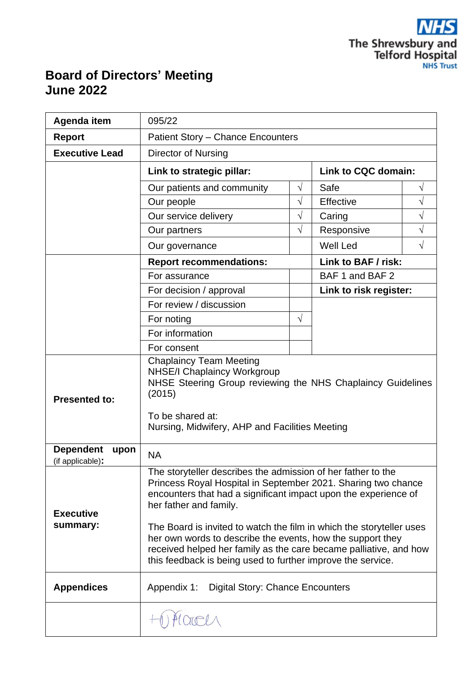

# **Board of Directors' Meeting June 2022**

| Agenda item                                  | 095/22                                                                                                                                                                                                                                                                                                                                                                                                                                     |           |                        |           |
|----------------------------------------------|--------------------------------------------------------------------------------------------------------------------------------------------------------------------------------------------------------------------------------------------------------------------------------------------------------------------------------------------------------------------------------------------------------------------------------------------|-----------|------------------------|-----------|
| <b>Report</b>                                | <b>Patient Story - Chance Encounters</b>                                                                                                                                                                                                                                                                                                                                                                                                   |           |                        |           |
| <b>Executive Lead</b>                        | <b>Director of Nursing</b>                                                                                                                                                                                                                                                                                                                                                                                                                 |           |                        |           |
|                                              | Link to strategic pillar:                                                                                                                                                                                                                                                                                                                                                                                                                  |           | Link to CQC domain:    |           |
|                                              | Our patients and community                                                                                                                                                                                                                                                                                                                                                                                                                 | $\sqrt{}$ | Safe                   | V         |
|                                              | Our people                                                                                                                                                                                                                                                                                                                                                                                                                                 | $\sqrt{}$ | Effective              | V         |
|                                              | Our service delivery                                                                                                                                                                                                                                                                                                                                                                                                                       | $\sqrt{}$ | Caring                 | V         |
|                                              | Our partners                                                                                                                                                                                                                                                                                                                                                                                                                               | $\sqrt{}$ | Responsive             | V         |
|                                              | Our governance                                                                                                                                                                                                                                                                                                                                                                                                                             |           | <b>Well Led</b>        | $\sqrt{}$ |
|                                              | <b>Report recommendations:</b>                                                                                                                                                                                                                                                                                                                                                                                                             |           | Link to BAF / risk:    |           |
|                                              | For assurance                                                                                                                                                                                                                                                                                                                                                                                                                              |           | BAF 1 and BAF 2        |           |
|                                              | For decision / approval                                                                                                                                                                                                                                                                                                                                                                                                                    |           | Link to risk register: |           |
|                                              | For review / discussion                                                                                                                                                                                                                                                                                                                                                                                                                    |           |                        |           |
|                                              | For noting                                                                                                                                                                                                                                                                                                                                                                                                                                 | $\sqrt{}$ |                        |           |
|                                              | For information                                                                                                                                                                                                                                                                                                                                                                                                                            |           |                        |           |
|                                              | For consent                                                                                                                                                                                                                                                                                                                                                                                                                                |           |                        |           |
| <b>Presented to:</b>                         | <b>Chaplaincy Team Meeting</b><br><b>NHSE/I Chaplaincy Workgroup</b><br>NHSE Steering Group reviewing the NHS Chaplaincy Guidelines<br>(2015)<br>To be shared at:<br>Nursing, Midwifery, AHP and Facilities Meeting                                                                                                                                                                                                                        |           |                        |           |
| <b>Dependent</b><br>upon<br>(if applicable): | <b>NA</b>                                                                                                                                                                                                                                                                                                                                                                                                                                  |           |                        |           |
| <b>Executive</b><br>summary:                 | ÷<br>The storyteller describes the admission of her father to the<br>Princess Royal Hospital in September 2021. Sharing two chance<br>encounters that had a significant impact upon the experience of<br>her father and family.<br>The Board is invited to watch the film in which the storyteller uses<br>her own words to describe the events, how the support they<br>received helped her family as the care became palliative, and how |           |                        |           |
| <b>Appendices</b>                            | this feedback is being used to further improve the service.<br>Appendix 1:<br><b>Digital Story: Chance Encounters</b>                                                                                                                                                                                                                                                                                                                      |           |                        |           |
|                                              | March                                                                                                                                                                                                                                                                                                                                                                                                                                      |           |                        |           |